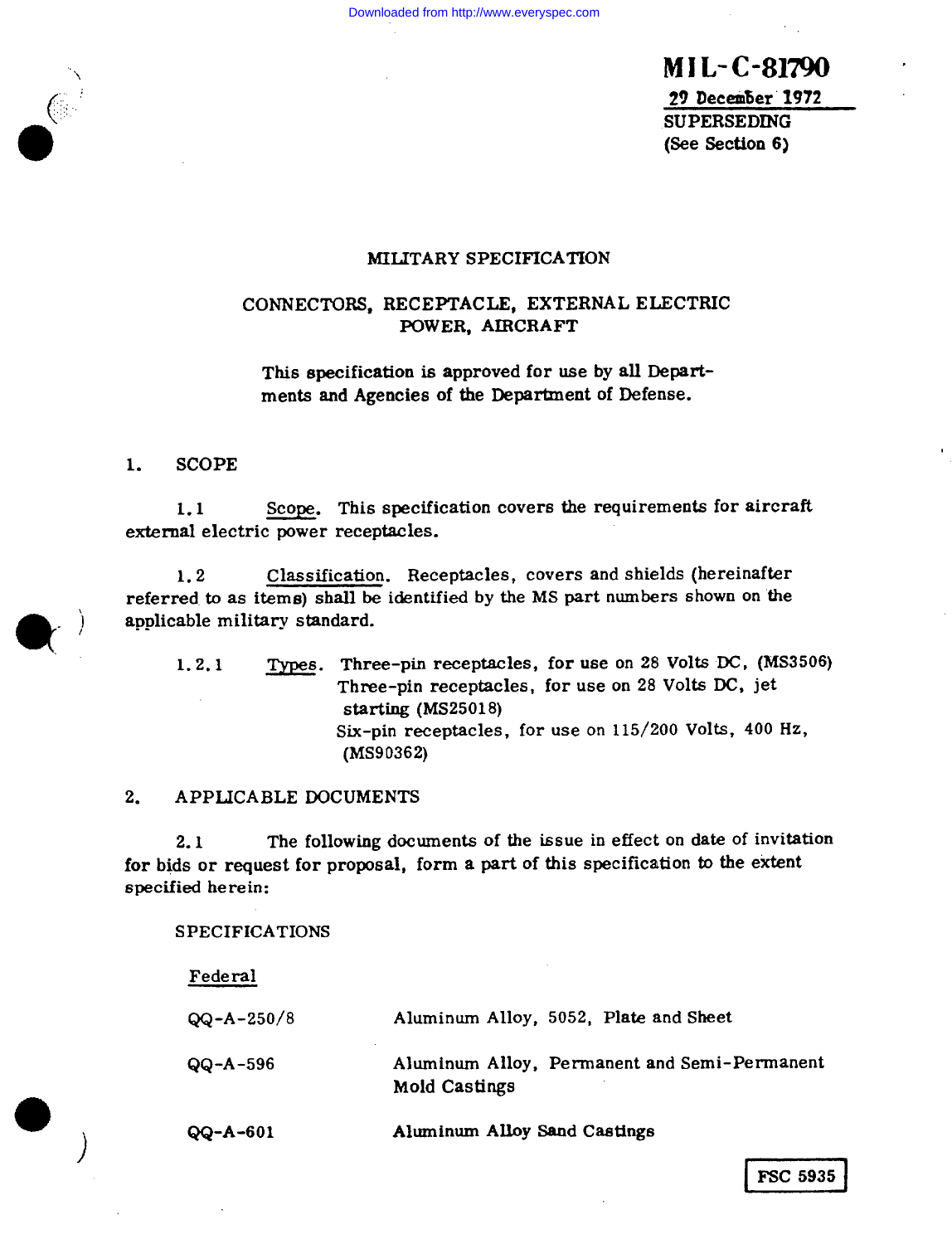\ **MlL-C-81790** .

29 December 1972 SUPERSEDING (See Section 6)

## MILITARY SPECIFICATION

# CONNECTORS, RECEPTACLE, EXTERNAL ELECTRIC POWER, AIRCRAFT

This specification is approved for use by all Departments and Agencies of the Department of Defense.

1. SCOPE

 $1.1$ external electric power receptacles. Scope. This specification covers the requirements for aircraft

1.2 Classification. Receptacles, covers and shields (hereinafter referred to as items) shall be identified by the MS part num hers shown on the **applicable military standard.<br>1.2.1 Types. Three** 

Types. Three-pin receptacles, for use on 28 Volts DC, (MS3506) Three-pin receptacles, for use on 28 Volts DC, jet starting  $(MS25018)$ Six-pin receptacles, for use on 115/200 Volts, 400 Hz, (MS90362)

## 2. APPLICABLE DOCUMENT

 $2.1$ for bids or request for proposal, form a part of this specification to the extent specified herein: The following documents of the issue in effect on date of invitation

SPECIFICATIONS

| Federal          |                                                               |  |  |
|------------------|---------------------------------------------------------------|--|--|
| $QQ - A - 250/8$ | Aluminum Alloy, 5052, Plate and Sheet                         |  |  |
| $QQ - A - 596$   | Aluminum Alloy, Permanent and Semi-Permanent<br>Mold Castings |  |  |
| $QQ - A - 601$   | Aluminum Alloy Sand Castings                                  |  |  |

o

**)**

**c' ,.,:, ,..,,:..**

**0**

**FSC 5935**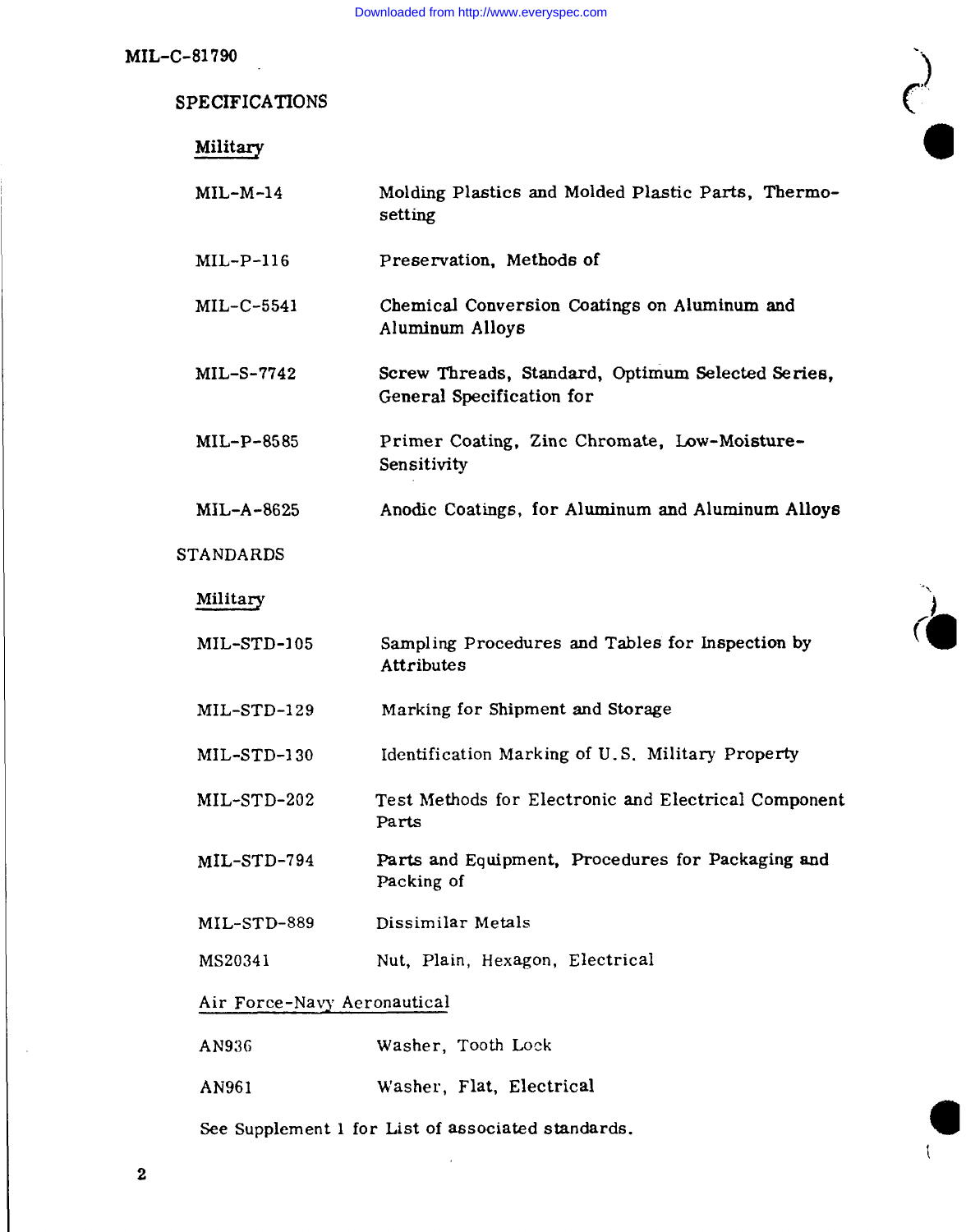$\bigg($ 

MIL-C-81790

| Military                    |                                                                                |
|-----------------------------|--------------------------------------------------------------------------------|
| $MIL-M-14$                  | Molding Plastics and Molded Plastic Parts, Thermo-<br>setting                  |
| $MIL-P-116$                 | Preservation, Methods of                                                       |
| $MIL-C-5541$                | Chemical Conversion Coatings on Aluminum and<br>Aluminum Alloys                |
| $MIL-S-7742$                | Screw Threads, Standard, Optimum Selected Series,<br>General Specification for |
| $ML-P-8585$                 | Primer Coating, Zinc Chromate, Low-Moisture-<br>Sensitivity                    |
| MIL-A-8625                  | Anodic Coatings, for Aluminum and Aluminum Alloys                              |
| <b>STANDARDS</b>            |                                                                                |
| Military                    |                                                                                |
| $MIL-STD-105$               | Sampling Procedures and Tables for Inspection by<br>Attributes                 |
| $MIL-STD-129$               | Marking for Shipment and Storage                                               |
| $MIL-STD-130$               | Identification Marking of U.S. Military Property                               |
| $MIL-STD-202$               | Test Methods for Electronic and Electrical Component<br>Parts                  |
| MIL-STD-794                 | Parts and Equipment, Procedures for Packaging and<br>Packing of                |
| MIL-STD-889                 | Dissimilar Metals                                                              |
| MS20341                     | Nut, Plain, Hexagon, Electrical                                                |
| Air Force-Navy Aeronautical |                                                                                |
| AN936                       | Washer, Tooth Lock                                                             |

AN961 Washer, Flat, Electrical

See Supplement 1 for List of associated standards.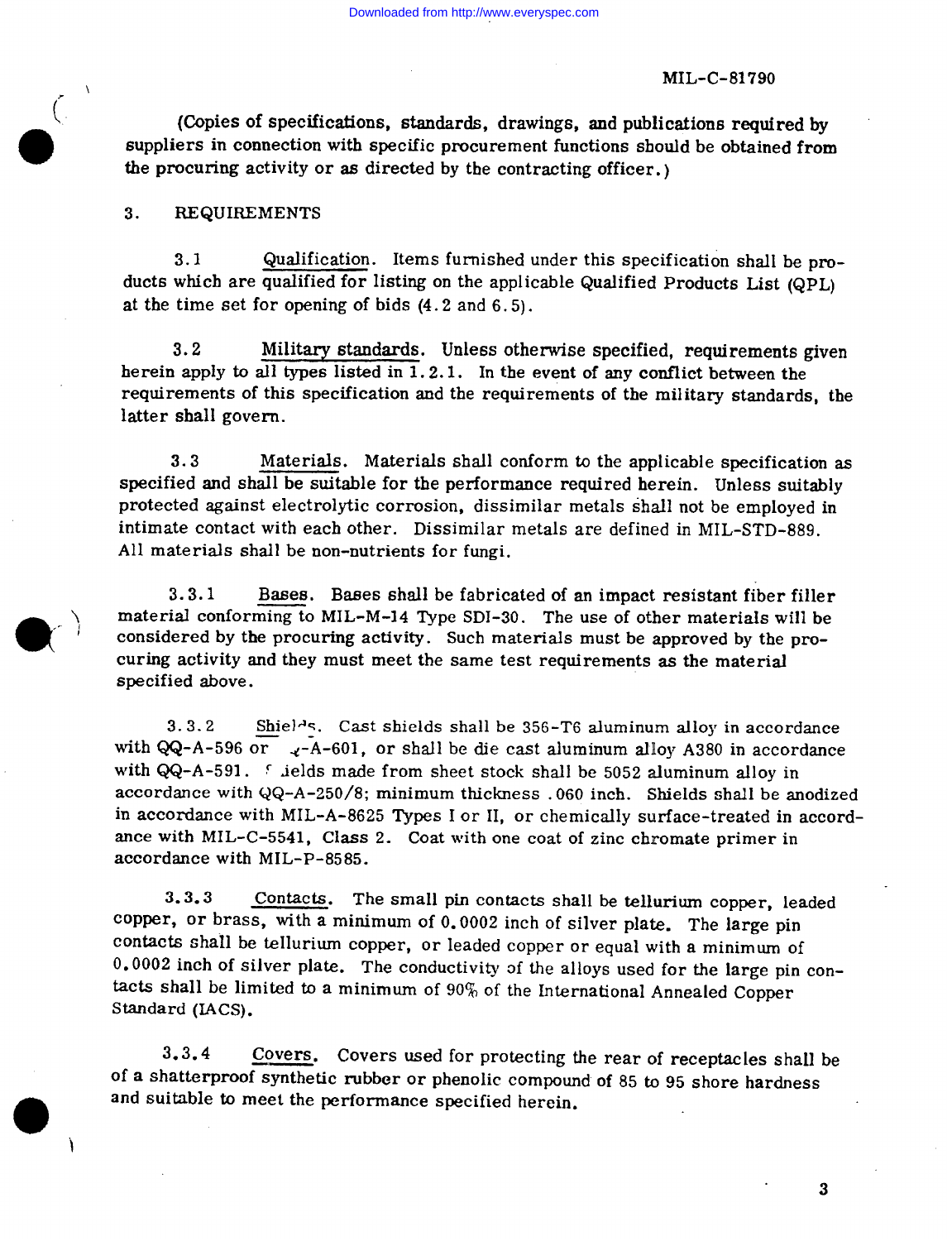(Copies of specifications, standards, drawings, and publications required by suppliers in connection with specific procurement functions should be obtained from the procuring activity or as directed by the contracting officer.)

#### 3. **REQUIREMENTS**

Qualification. Items furnished under this specification shall be pro- $3.1$ ducts which are qualified for listing on the applicable Qualified Products List (QPL) at the time set for opening of bids  $(4.2$  and  $6.5)$ .

 $3.2$ Military standards. Unless otherwise specified, requirements given herein apply to all types listed in 1.2.1. In the event of any conflict between the requirements of this specification and the requirements of the military standards, the latter shall govern.

 $3.3$ Materials. Materials shall conform to the applicable specification as specified and shall be suitable for the performance required herein. Unless suitably protected against electrolytic corrosion, dissimilar metals shall not be employed in intimate contact with each other. Dissimilar metals are defined in MIL-STD-889. All materials shall be non-nutrients for fungi.

 $3.3.1$ Bases. Bases shall be fabricated of an impact resistant fiber filler material conforming to MIL-M-14 Type SDI-30. The use of other materials will be considered by the procuring activity. Such materials must be approved by the procuring activity and they must meet the same test requirements as the material specified above.

 $3.3.2$ Shiel<sup>1</sup>s. Cast shields shall be 356-T6 aluminum alloy in accordance with QQ-A-596 or  $\sqrt{x}$ -A-601, or shall be die cast aluminum alloy A380 in accordance with QQ-A-591. Sields made from sheet stock shall be 5052 aluminum alloy in accordance with  $QQ-A-250/8$ ; minimum thickness .060 inch. Shields shall be anodized in accordance with MIL-A-8625 Types I or II, or chemically surface-treated in accordance with MIL-C-5541, Class 2. Coat with one coat of zinc chromate primer in accordance with MIL-P-8585.

Contacts. The small pin contacts shall be tellurium copper, leaded  $3.3.3$ copper, or brass, with a minimum of 0.0002 inch of silver plate. The large pin contacts shall be tellurium copper, or leaded copper or equal with a minimum of 0.0002 inch of silver plate. The conductivity of the alloys used for the large pin contacts shall be limited to a minimum of  $90\%$  of the International Annealed Copper Standard (IACS).

 $3.3.4$ Covers. Covers used for protecting the rear of receptacles shall be of a shatterproof synthetic rubber or phenolic compound of 85 to 95 shore hardness and suitable to meet the performance specified herein.

 $\bf{3}$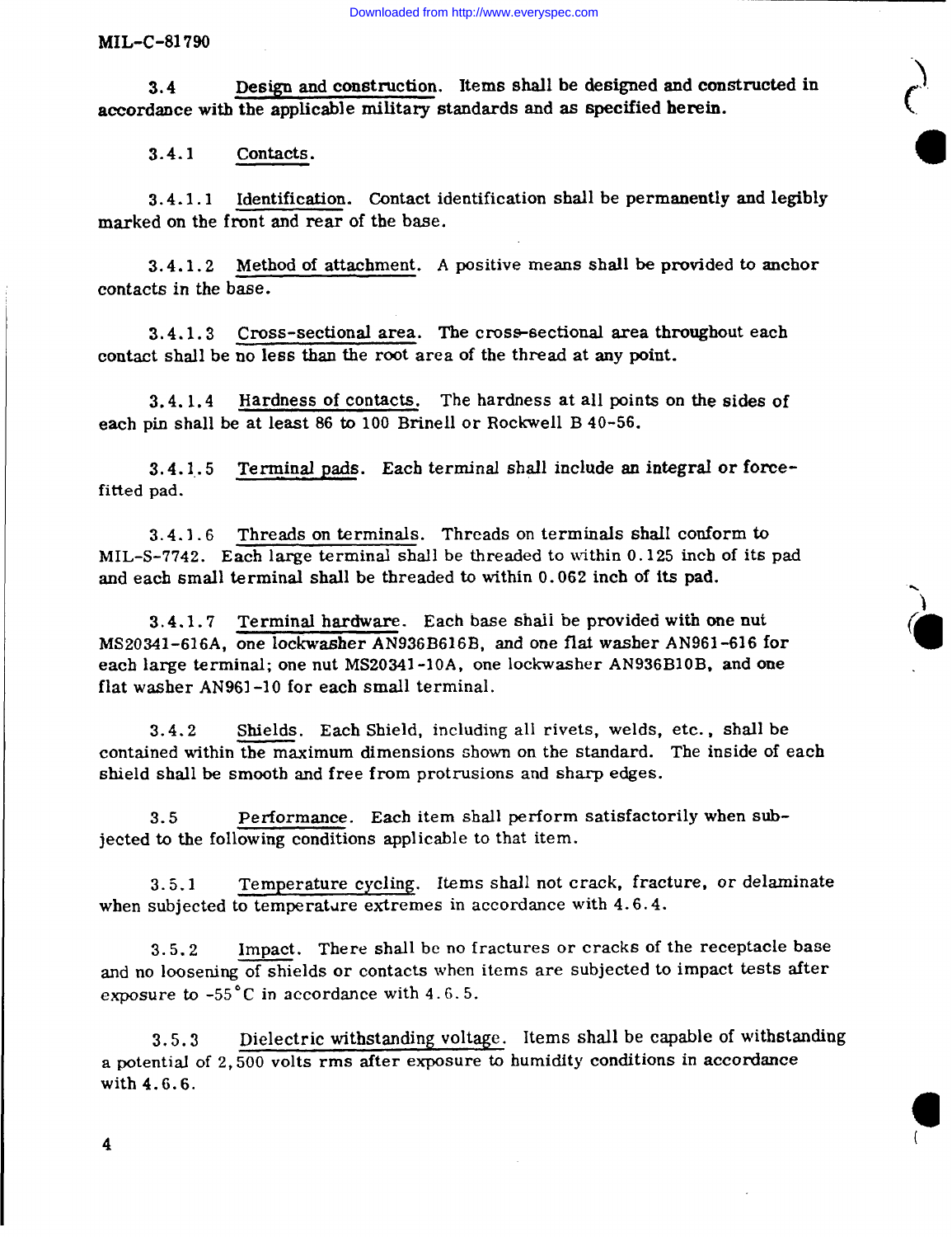3.4 Design and construction. Items shall be designed and constructed in accordance with the applicable military standards and as specified herein.

3.4.1 Contacts.

3.4.1.1 Identification. Contact identification shall be permanently and legibl marked on the front and rear of the base.

3.4.1.2 Method of attachment. A positive means shall be provided to anchor contacts in the base.

3.4.1.3 Cross-sectional area. The cross-sectional area throughout each contact shall be no less than the root area of the thread at any point.

3.4. 1.4 each pin shall be at least 86 to 100 Brinell or Rockwell B 40-56. Hardness of contacts. The hardness at all points on the sides of

 $3.4.1.5$  Terminal pads. Each terminal shall include an integral or force fitted pad.

 $3.4.1.6$  Threads on terminals. Threads on terminals shall conform to MIL-S-7742. Each large terminal shall be threaded to within 0.125 inch of its pad and each small terminal shall be threaded to within 0.062 inch of its pad.

3.4.1.7 Terminal hardware. Each base shaii be provided with one nut MS20341-616A, one Iockwasher AN936B616B, and one fiat washer AN961-616 for each large terminal; one nut MS20341-10A, one lockwasher AN936B10B, and one flat washer AN961 -10 for each small terminal.

3.4.2 Shields. Each Shield, including all rivets, welds, etc. , shall be contained within the maximum dimensions shown on the standard. The inside of each shield shall be smooth and free from protrusions and sharp edges.

3.5 Performance. Each item shall perform satisfactorily when subjected to the following conditions applicable to that item.

3.5.1 Temperature cycling. Items shall not crack, fracture, or delaminate when subjected to temperature extremes in accordance with  $4.6.4$ .

3.5.2 Impact. There shall bc no fractures or cracks of the receptacle base and no loosening of shields or contacts when items are subjected to impact tests after exposure to  $-55^{\circ}$ C in accordance with 4.6.5.

3.5.3 Dielectric withstanding voltage. Items shall be capable of withstanding a potential of 2,500 volts rms after exposure to humidity conditions in accordance with 4.6.6.

(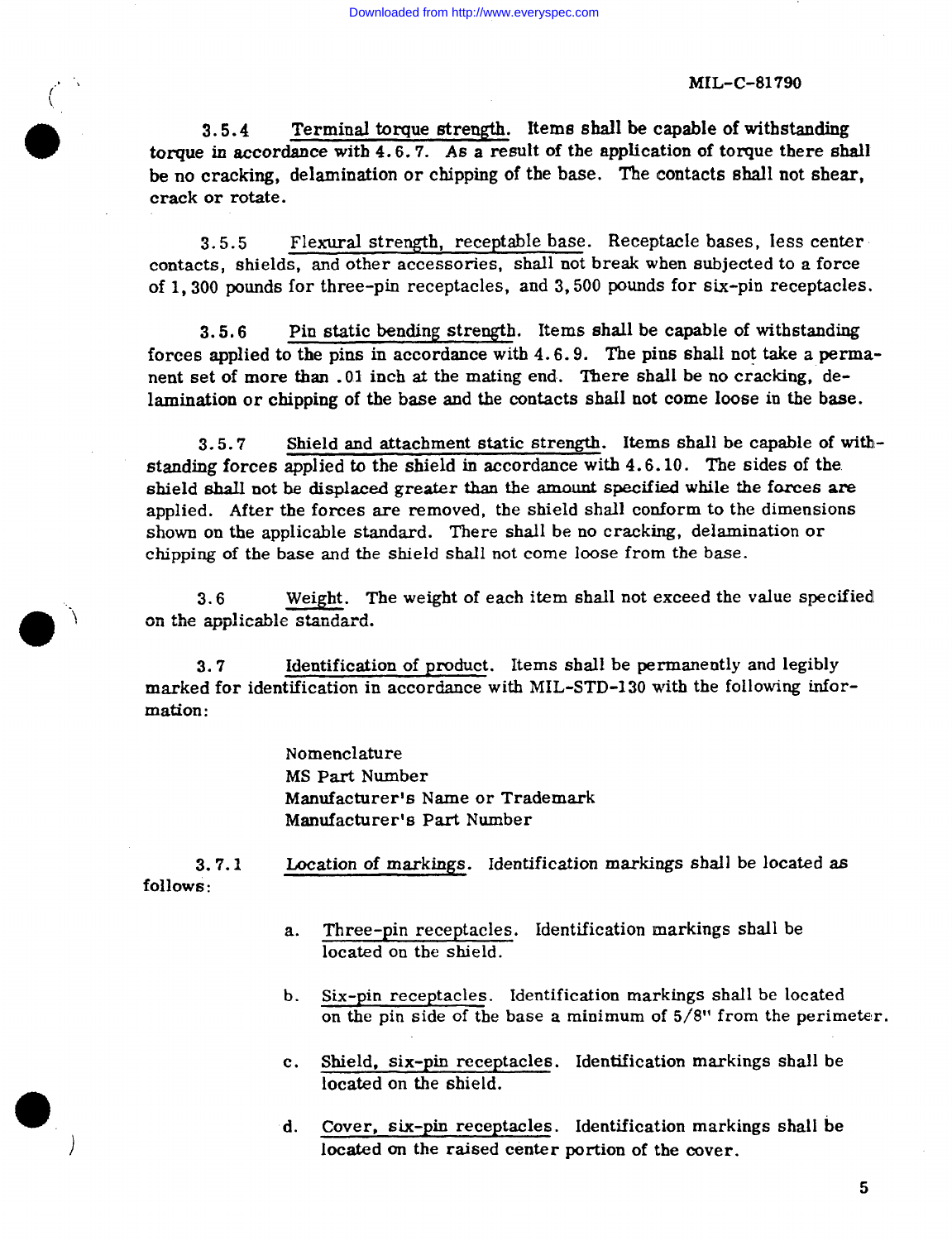Terminal torque strength. Items shall be capable of withstanding  $3.5.4$ torque in accordance with  $4.6.7$ . As a result of the application of torque there shall be no cracking, delamination or chipping of the base. The contacts shall not shear. crack or rotate.

Flexural strength, receptable base. Receptacle bases, less center  $3.5.5$ contacts, shields, and other accessories, shall not break when subjected to a force of 1,300 pounds for three-pin receptacles, and 3,500 pounds for six-pin receptacles.

Pin static bending strength. Items shall be capable of withstanding  $3.5.6$ forces applied to the pins in accordance with 4.6.9. The pins shall not take a permanent set of more than .01 inch at the mating end. There shall be no cracking, delamination or chipping of the base and the contacts shall not come loose in the base.

Shield and attachment static strength. Items shall be capable of with- $3.5.7$ standing forces applied to the shield in accordance with 4.6.10. The sides of the shield shall not be displaced greater than the amount specified while the forces are applied. After the forces are removed, the shield shall conform to the dimensions shown on the applicable standard. There shall be no cracking, delamination or chipping of the base and the shield shall not come loose from the base.

Weight. The weight of each item shall not exceed the value specified  $3.6$ on the applicable standard.

Identification of product. Items shall be permanently and legibly  $3.7$ marked for identification in accordance with MIL-STD-130 with the following infor $mation:$ 

> Nomenclature MS Part Number Manufacturer's Name or Trademark Manufacturer's Part Number

Location of markings. Identification markings shall be located as  $3.7.1$ follows:

- Three-pin receptacles. Identification markings shall be  $a.$ located on the shield.
- Six-pin receptacles. Identification markings shall be located  $\mathbf{b}$ . on the pin side of the base a minimum of 5/8" from the perimeter.
- Shield, six-pin receptacles. Identification markings shall be  $c_{\star}$ located on the shield.
- d. Cover, six-pin receptacles. Identification markings shall be located on the raised center portion of the cover.

 $5\phantom{1}$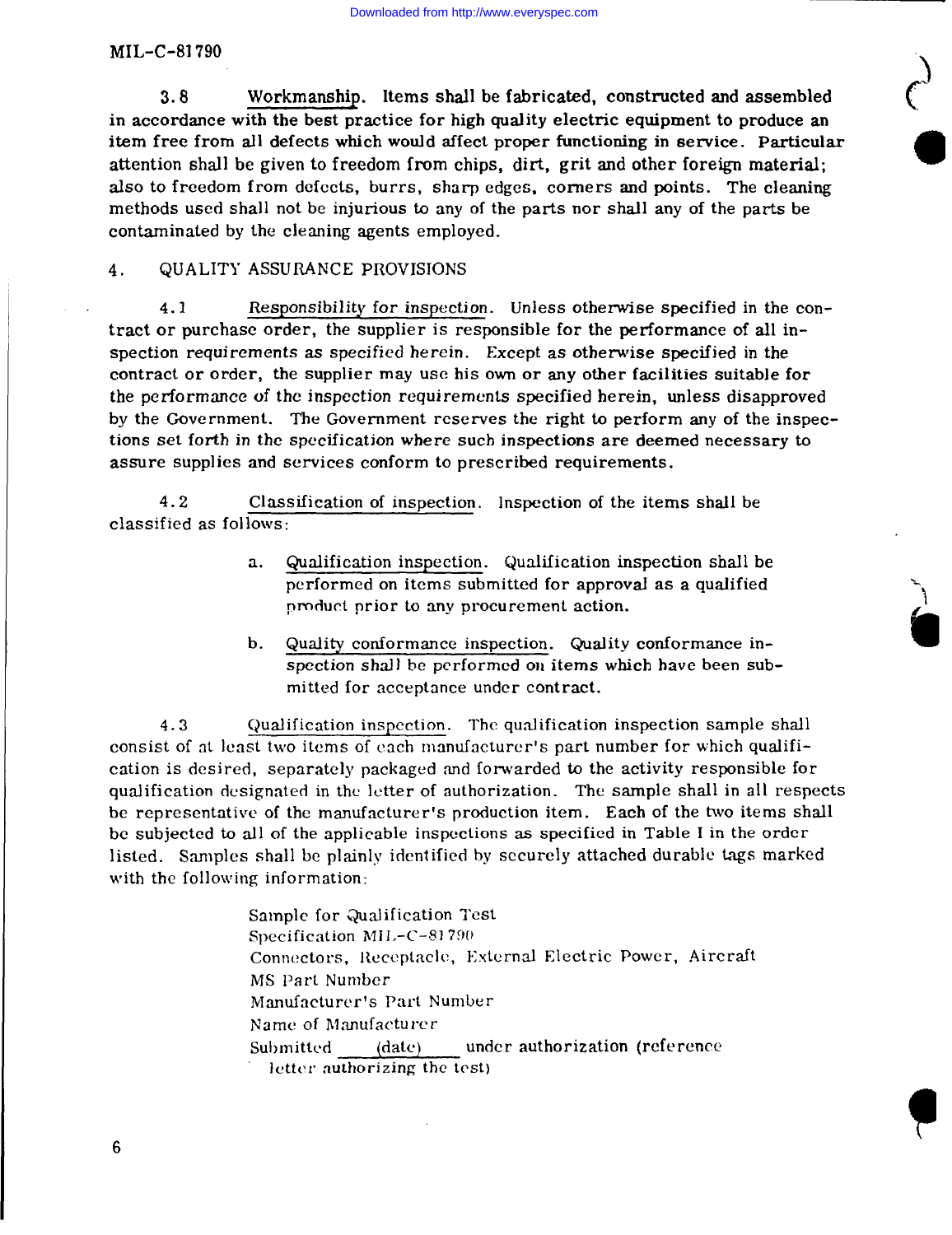$\mathbf{r}$ 

**.,.**

MIL-C-81 790

**3.8** Workmanship. Items shall be fabricated, constructed and assembled in accordance with the best practice for high quality electric equipment to produce an item free from all defects which would affect proper functioning in setwice. Particular attention shall be given to freedom from chips, dirt, grit and other foreign material; also to freedom from defects, burrs, sharp edges, corners and points. The cleaning methods used shall not be injurious to any of the parts nor shalI any of the parts be contaminated by the cleaning agents employed.

# 4. QUALITY ASSURANCE PROVISIONS

4.1 Responsibility for inspection. Unless othemvise specified in the ccmtract or purchase order, the supplier is responsible for the performance of all inspection requirements as specified herein. Except as otherwise specified in the contract or order, the supplier may use his own or any other facilities suitable for the performance of the inspection requirements specified herein, unless disapproved by the Government. The Government reserves the right to perform any of the inspections set forth in the specification where such inspections are deemed necessary to assure supplies and services conform to prescribed requirements.

4.2 Class ification of inspection. Inspection of the items shall be classified as follows:

- a. Qualification inspection. Qualification inspection shall be performed on items submitted for approvaJ as a qualified product prior to any procurement action.
- b. Quality conformance inspection. Quality conformance inspection shall be performed on items which have been submitted for acceptance under contract.

4.3 Qualification inspection. The qualification inspection sample shall consist of at least two items of each manufacturer's part number for which qualification is desired, separately packaged and forwarded to the activity responsible for qualification designated in the letter of authorization. The sample shall in 311 respects be representative of the manufacturer's production item. Each of the two items shall bc subjected to all of the applicable inspections as specified in Table I in the order listed. %mplcs shall be plainly identified by sccurcly attached durable tags marked with the following information:

> Sample for Qualification Test Specification  $MIL-C-81790$ Connectors, Receptacle, External Electric Power, Aircraft MS Part Number Manufacturer's Part Number Name of Manufacturer Submitted (date) under authorization (reference letter authorizing the test)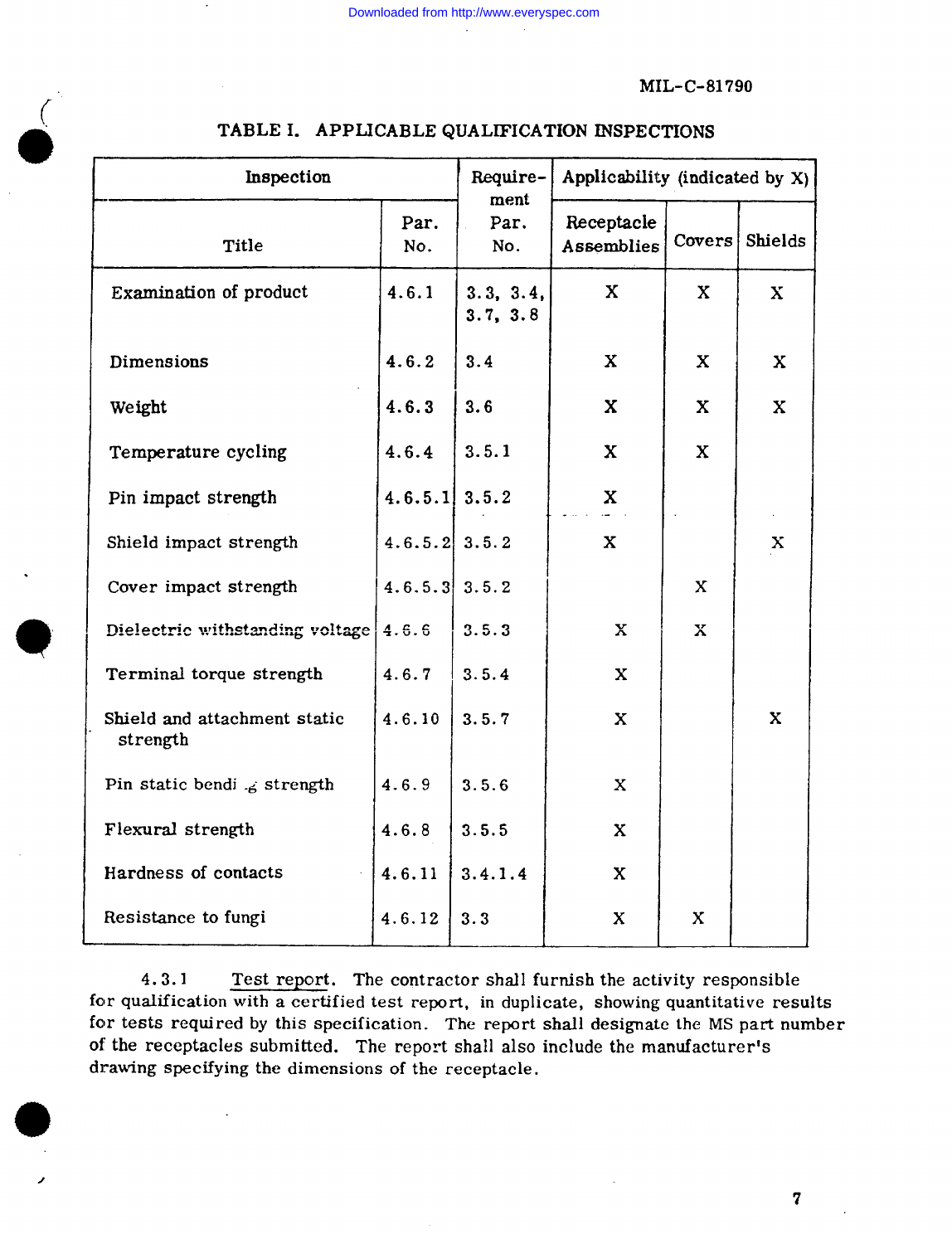| Inspection                               | Require-<br>ment | Applicability (indicated by X) |                          |              |              |
|------------------------------------------|------------------|--------------------------------|--------------------------|--------------|--------------|
| Title                                    | Par.<br>No.      | Par.<br>No.                    | Receptacle<br>Assemblies | Covers       | Shields      |
| Examination of product                   | 4.6.1            | 3.3, 3.4,<br>3.7, 3.8          | $\mathbf{X}$             | X            | X            |
| Dimensions                               | 4.6.2            | 3.4                            | $\mathbf{X}$             | X            | X            |
| Weight                                   | 4.6.3            | 3.6                            | $\mathbf{x}$             | $\mathbf{X}$ | $\mathbf{x}$ |
| Temperature cycling                      | 4.6.4            | 3.5.1                          | $\mathbf{x}$             | $\mathbf{X}$ |              |
| Pin impact strength                      | $4.6.5.1$ 3.5.2  |                                | X                        |              |              |
| Shield impact strength                   | $4.6.5.2$ 3.5.2  |                                | $\mathbf x$              |              | X            |
| Cover impact strength                    | $4.6.5.3$ 3.5.2  |                                |                          | X            |              |
| Dielectric withstanding voltage          | 4.6.6            | 3.5.3                          | $\mathbf x$              | $\mathbf x$  |              |
| Terminal torque strength                 | 4.6.7            | 3.5.4                          | $\mathbf x$              |              |              |
| Shield and attachment static<br>strength | 4.6.10           | 3.5.7                          | $\mathbf{x}$             |              | X            |
| Pin static bendi $\mathcal{L}$ strength  | 4.6.9            | 3.5.6                          | X                        |              |              |
| Flexural strength                        | 4.6.8            | 3.5.5                          | X                        |              |              |
| Hardness of contacts                     | 4.6.11           | 3.4.1.4                        | X                        |              |              |
| Resistance to fungi                      | 4.6.12           | 3.3                            | X                        | $\mathbf x$  |              |

# TABLE I. APPLICABLE QUALIFICATION INSPECTIONS

 $4.3.1$ Test report. The contractor shall furnish the activity responsible for qualification with a certified test report, in duplicate, showing quantitative results for tests required by this specification. The report shall designate the MS part number of the receptacles submitted. The report shall also include the manufacturer's drawing specifying the dimensions of the receptacle.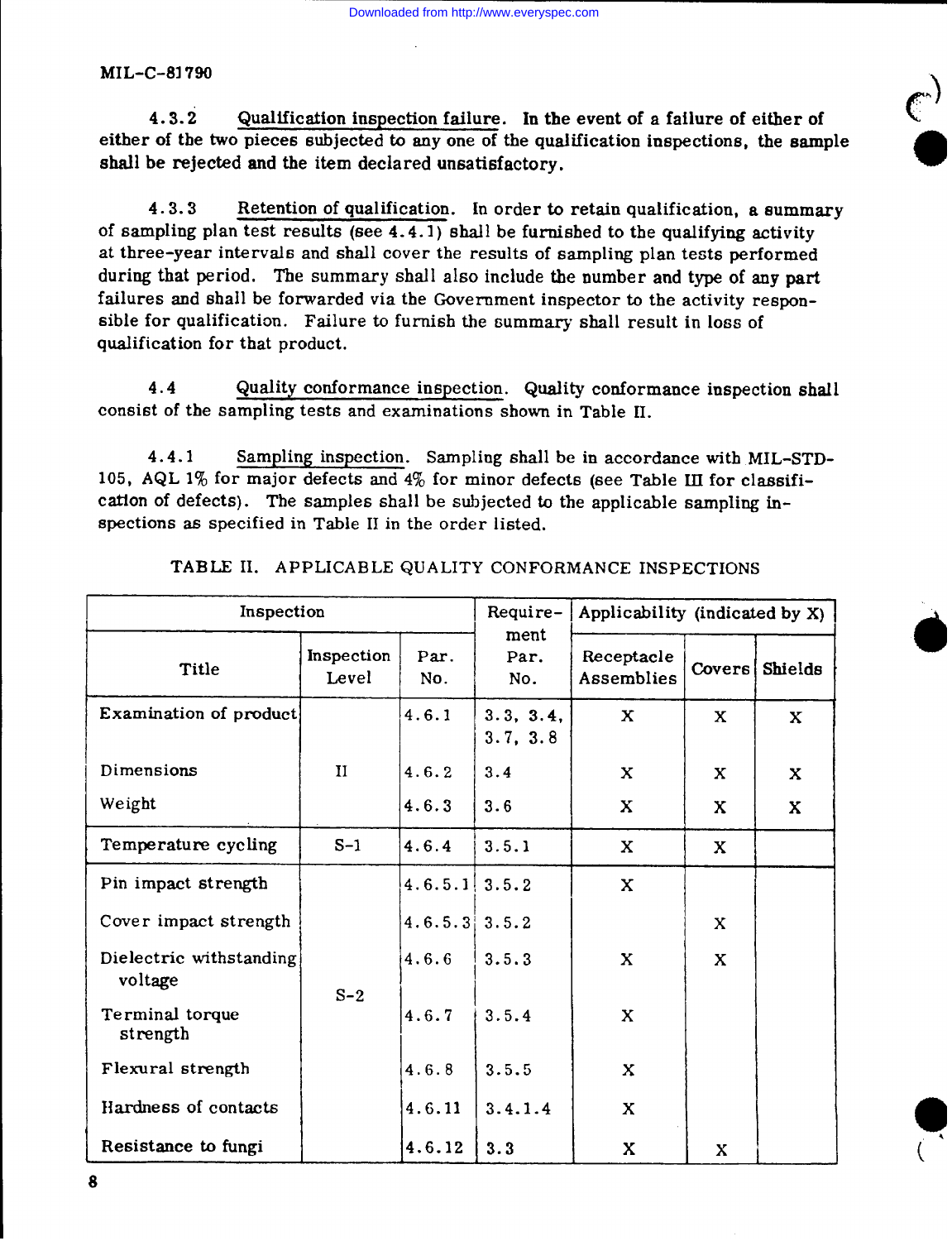4.3.2 Qualification inspection failure. In the event of a failure of either of either of the two pieces subjected to any one of the qualification inspections, the sample shall be rejected and the item declared unsatisfactory.

**C ,,**-I

4.3.3 Retention of qualification. In order to retain qualification, a summary of sampling plan test results (see  $4.4.1$ ) shall be furnished to the qualifying activity at three-year intervals and shall cover the results of sampling plan tests performed during that period. The summary shall also include the number and type of any part failures and shall be forwarded via the Government inspector to the activity responsible for qualification. Failure to furnish the summary shall result in loss of qualification for that product.

4.4 Quality conformance inspection. Quality conformance inspection shall consist of the sampling tests and examinations shown in Table H.

4.4.1 Sampling inspection. Sampling shall be in accordance with MIL-STD-105, AQL 1% for major defects and 4% for minor defects (see Table III for classification of defects). The samples shall be subjected to the applicable sampling inspections as specified in Tabie H in the order listed.

| Inspection                         |                     |                 | Require-              | Applicability (indicated by X) |              |             |
|------------------------------------|---------------------|-----------------|-----------------------|--------------------------------|--------------|-------------|
| Title                              | Inspection<br>Level | Par.<br>No.     | ment<br>Par.<br>No.   | Receptacle<br>Assemblies       | Covers       | Shields     |
| Examination of product             |                     | 4.6.1           | 3.3, 3.4,<br>3.7, 3.8 | $\mathbf x$                    | $\mathbf{x}$ | $\mathbf x$ |
| Dimensions                         | $\mathbf{H}$        | 4.6.2           | 3.4                   | X                              | X            | X           |
| Weight                             |                     | 4.6.3           | 3.6                   | X                              | X            | X           |
| Temperature cycling                | $S-1$               | 4.6.4           | 3.5.1                 | X                              | X            |             |
| Pin impact strength                | $S-2$               | $4.6.5.1$ 3.5.2 |                       | X                              |              |             |
| Cover impact strength              |                     | $4.6.5.3$ 3.5.2 |                       |                                | $\mathbf{x}$ |             |
| Dielectric withstanding<br>voltage |                     | 4.6.6           | 3.5.3                 | $\mathbf{x}$                   | X            |             |
| Terminal torque<br>strength        |                     | 4.6.7           | 3.5.4                 | X                              |              |             |
| Flexural strength                  |                     | 4.6.8           | 3.5.5                 | X                              |              |             |
| Hardness of contacts               |                     | 4.6.11          | 3.4.1.4               | X                              |              |             |
| Resistance to fungi                |                     | 4.6.12          | 3.3                   | X                              | X            |             |

TABLE II. APPLICABLE QUALITY CONFORMANCE INSPECTIONS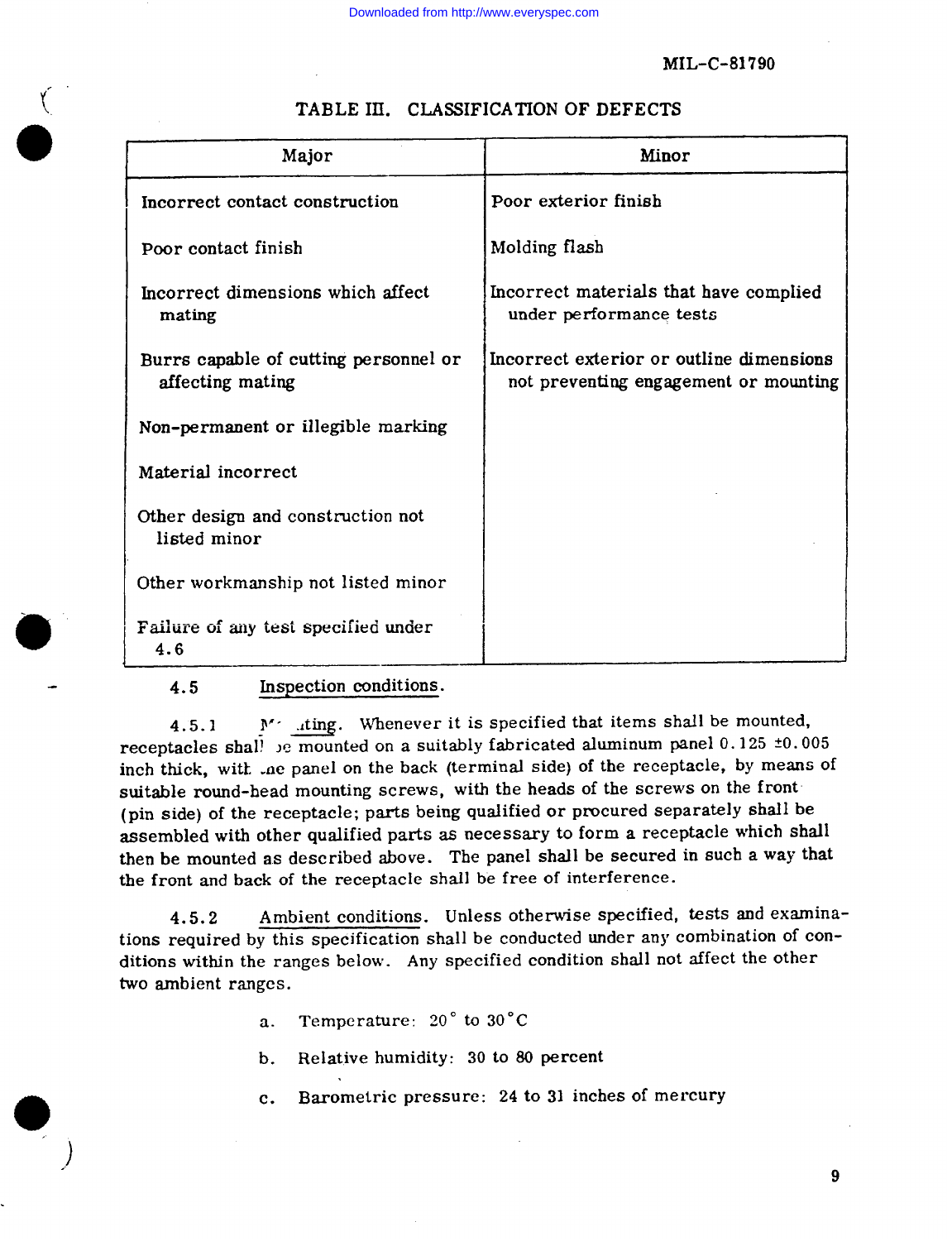| Major                                                     | Minor                                                                             |  |  |  |
|-----------------------------------------------------------|-----------------------------------------------------------------------------------|--|--|--|
| Incorrect contact construction                            | Poor exterior finish                                                              |  |  |  |
| Poor contact finish                                       | Molding flash                                                                     |  |  |  |
| Incorrect dimensions which affect<br>mating               | Incorrect materials that have complied<br>under performance tests                 |  |  |  |
| Burrs capable of cutting personnel or<br>affecting mating | Incorrect exterior or outline dimensions<br>not preventing engagement or mounting |  |  |  |
| Non-permanent or illegible marking                        |                                                                                   |  |  |  |
| Material incorrect                                        |                                                                                   |  |  |  |
| Other design and construction not<br>listed minor         |                                                                                   |  |  |  |
| Other workmanship not listed minor                        |                                                                                   |  |  |  |
| Failure of any test specified under<br>4.6                |                                                                                   |  |  |  |

# TABLE III. CLASSIFICATION OF DEFECTS

4.5 **Inspection condition** 

4.5.1 M iting. Whenever it is specified that items shall be mounted, receptacles shall be mounted on a suitably fabricated aluminum panel  $0.125 \pm 0.005$ inch thick, witk .ae panel on the back (terminal side) of the receptacle, by means of suitable round-head mounting screws, with the heads of the screws on the front (pin side) of the receptacle; parts being qualified or procured separately shall be assembled with other qualified parts as necessary to form a receptacle which shall then be mounted as described above. The panel shall be secured in such a way that the front and back of the receptacle shall be free of interference.

4.5.2 Ambient conditions. Unless otherwise specified, tests and examinations required by this specification shall be conducted under any combination of conditions within the ranges below. Any specified condition shall not affect the other two ambient ranges.

- a. Temperature: 20° to 30° C
- b. Relative humidity: 30 to 80 percent
- c. Barometric pressure: 24 to 31 inches of mercury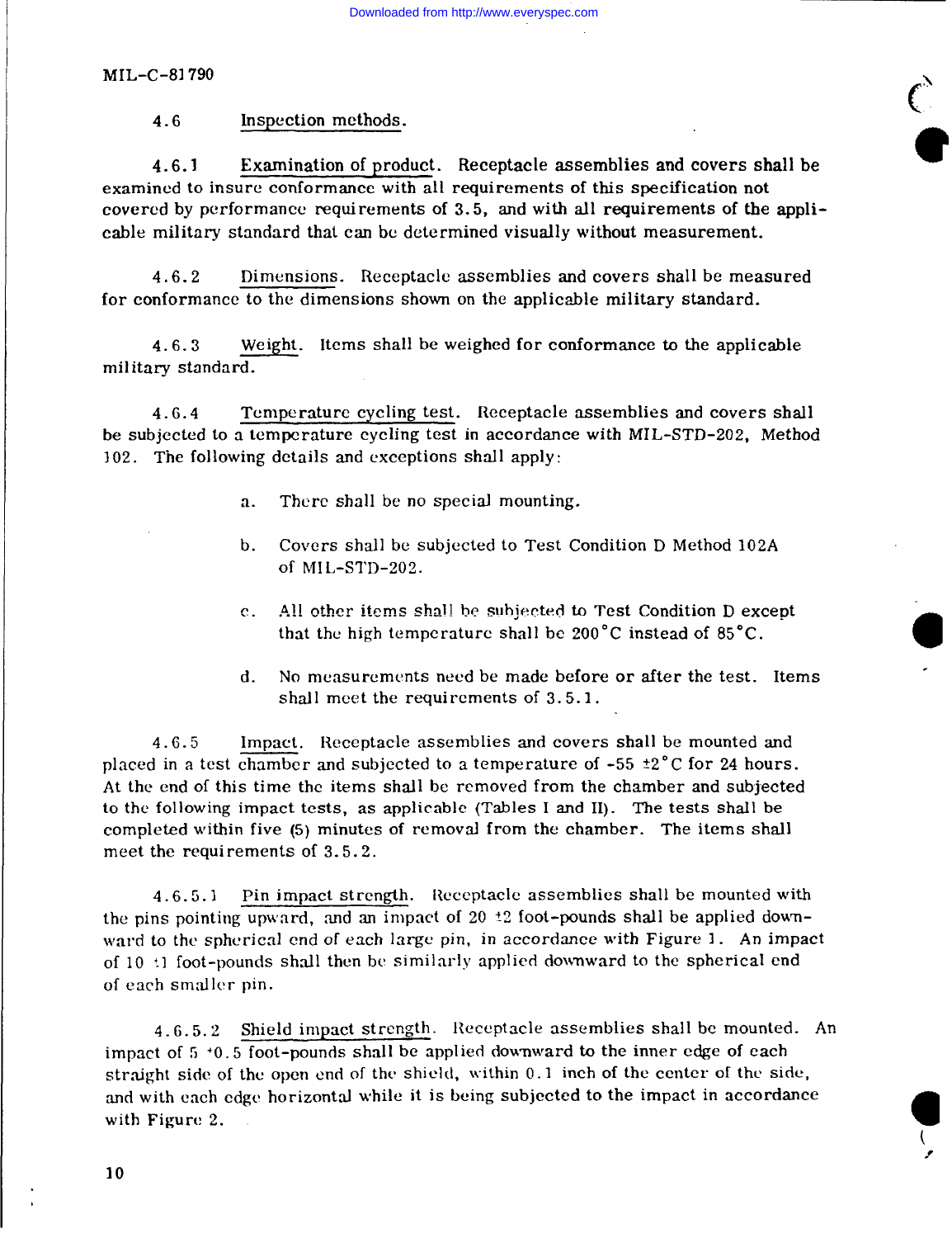$4.6$ Inspection methods.

Examination of product. Receptacle assemblies and covers shall be  $4.6.1$ examined to insure conformance with all requirements of this specification not covered by performance requirements of 3.5, and with all requirements of the applicable military standard that can be determined visually without measurement.

 $4.6.2$ Dimensions. Receptacle assemblies and covers shall be measured for conformance to the dimensions shown on the applicable military standard.

Weight. Items shall be weighed for conformance to the applicable  $4.6.3$ military standard.

 $4.6.4$ Temperature cycling test. Receptacle assemblies and covers shall be subjected to a temperature cycling test in accordance with MIL-STD-202, Method 102. The following details and exceptions shall apply:

- There shall be no special mounting.  $\mathbf{a}$ .
- Covers shall be subjected to Test Condition D Method 102A  $\mathbf{b}$ . of MIL-STD-202.
- All other items shall be subjected to Test Condition D except  $\mathbf{c}$ . that the high temperature shall be 200°C instead of 85°C.
- No measurements need be made before or after the test. Items  $\mathbf{d}$ . shall meet the requirements of 3.5.1.

Impact. Receptacle assemblies and covers shall be mounted and  $4.6.5$ placed in a test chamber and subjected to a temperature of -55  $\pm 2^{\circ}$ C for 24 hours. At the end of this time the items shall be removed from the chamber and subjected to the following impact tests, as applicable (Tables I and II). The tests shall be completed within five (5) minutes of removal from the chamber. The items shall meet the requirements of 3.5.2.

 $4.6.5.1$ Pin impact strength. Receptacle assemblies shall be mounted with the pins pointing upward, and an impact of 20  $\pm$ 2 foot-pounds shall be applied downward to the spherical end of each large pin, in accordance with Figure 1. An impact of 10 <sup>+</sup>1 foot-pounds shall then be similarly applied downward to the spherical end of each smaller pin.

4.6.5.2 Shield impact strength. Receptacle assemblies shall be mounted. An impact of 5 +0.5 foot-pounds shall be applied downward to the inner edge of each straight side of the open end of the shield, within 0.1 inch of the center of the side, and with each edge horizontal while it is being subjected to the impact in accordance with Figure 2.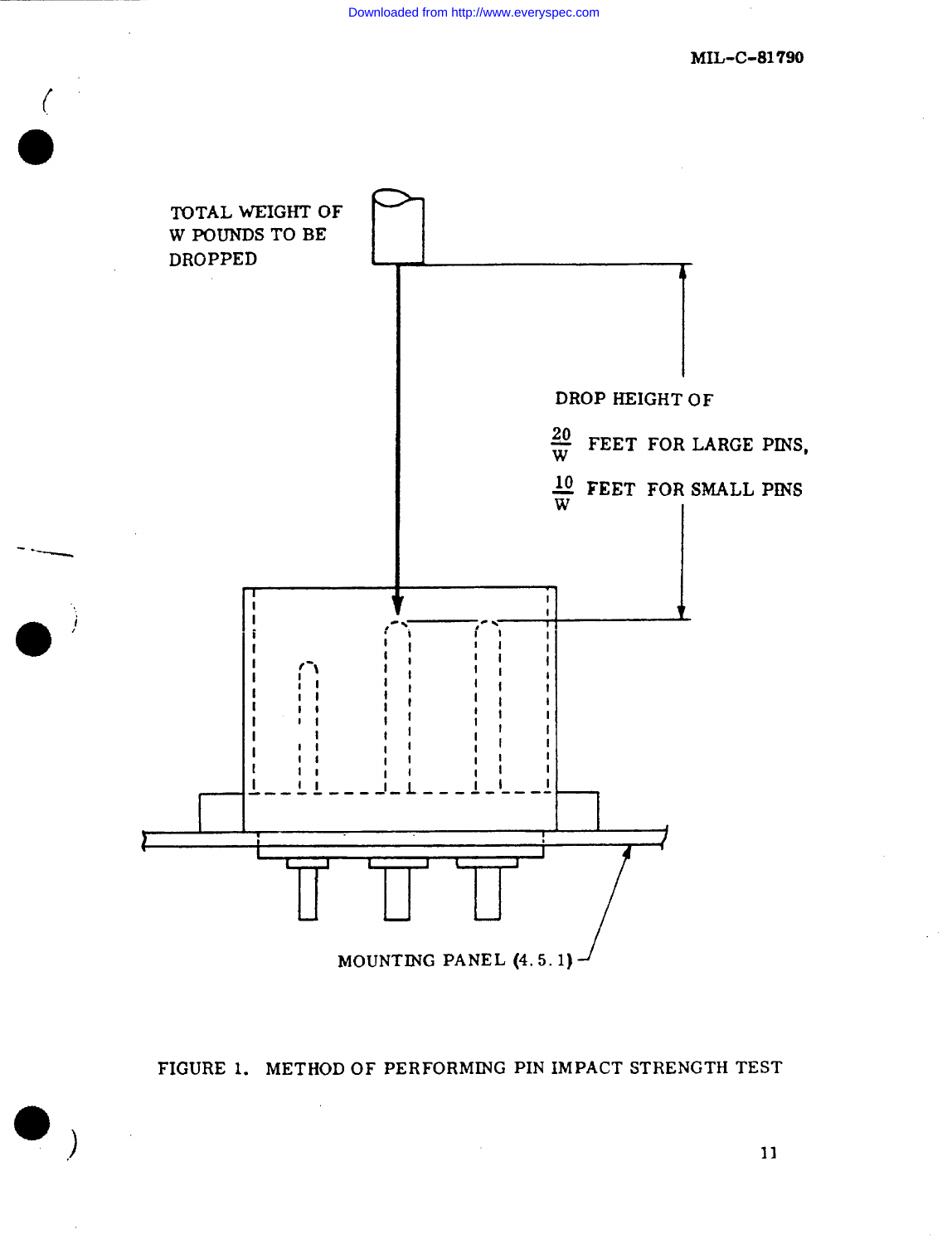

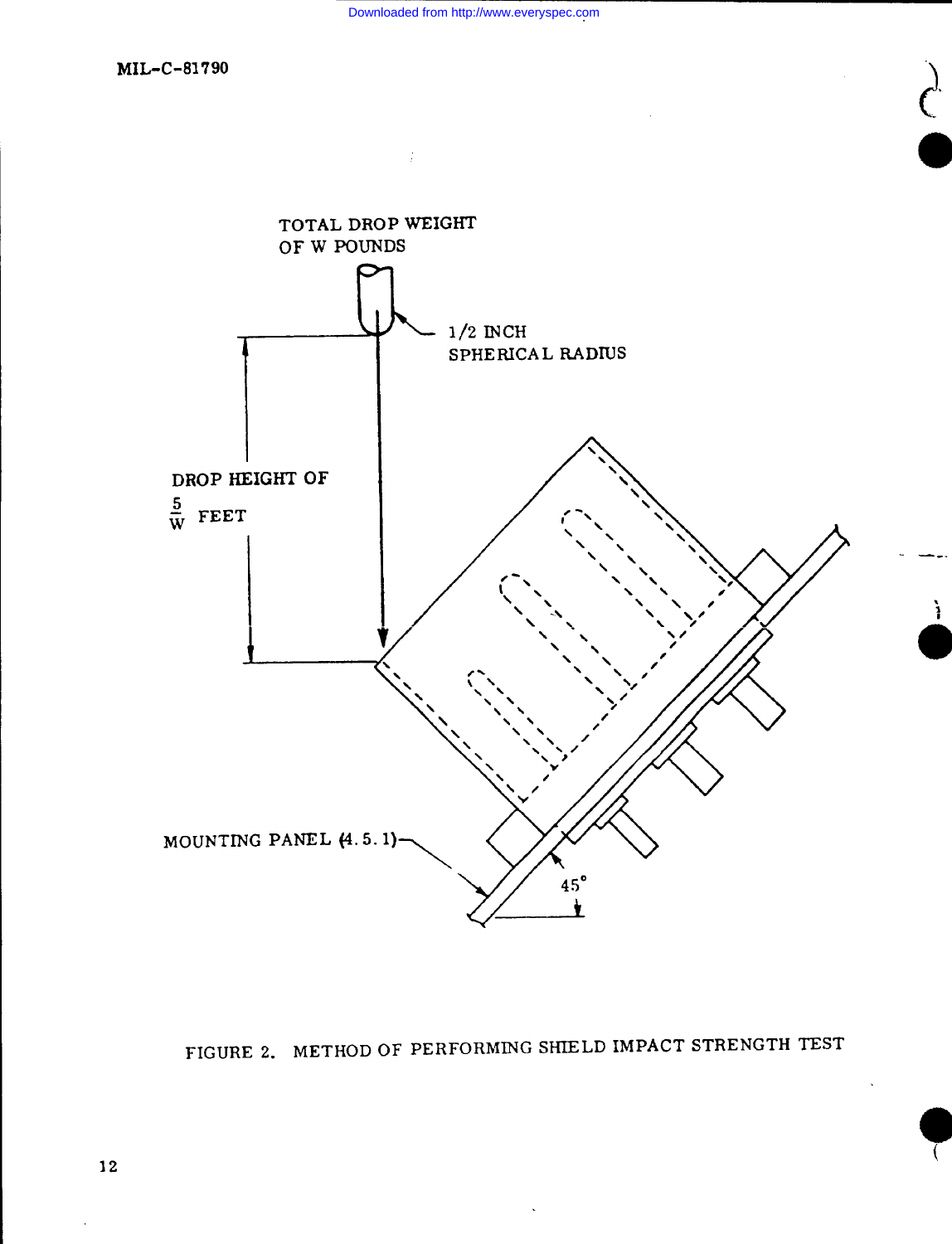



Downloaded from http://www.everyspec.com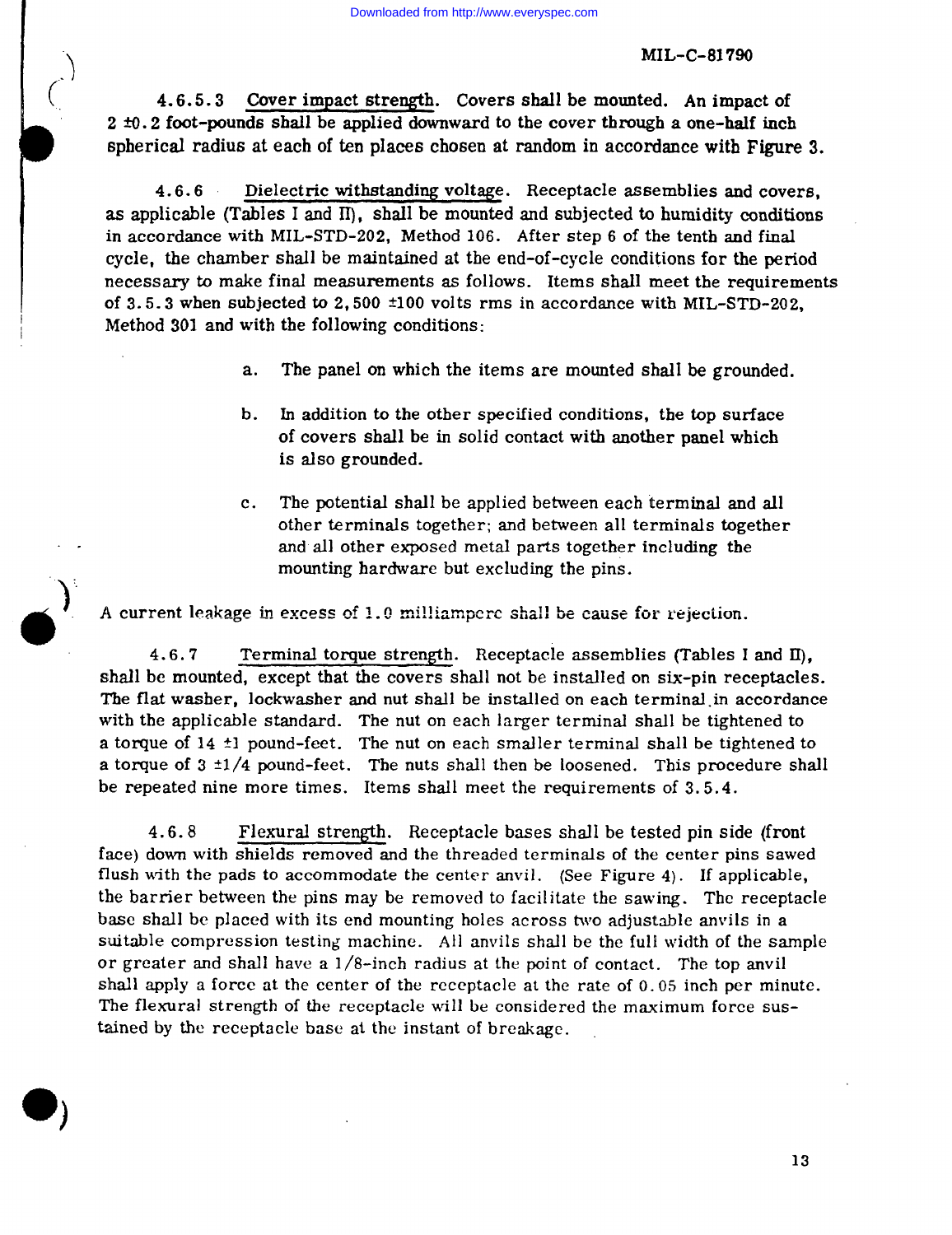4.6.5.3 Cover impact strength. Covers shall be mounted. An impact of  $2 \pm 0.2$  foot-pounds shall be applied downward to the cover through a one-half inch spherical radius at each of ten places chosen at random in accordance with Figure 3.

 $4.6.6$ Dielectric withstanding voltage. Receptacle assemblies and covers, as applicable (Tables I and II), shall be mounted and subjected to humidity conditions in accordance with MIL-STD-202, Method 106. After step 6 of the tenth and final cycle, the chamber shall be maintained at the end-of-cycle conditions for the period necessary to make final measurements as follows. Items shall meet the requirements of 3.5.3 when subjected to 2,500  $\pm$ 100 volts rms in accordance with MIL-STD-202. Method 301 and with the following conditions:

- $a.$ The panel on which the items are mounted shall be grounded.
- In addition to the other specified conditions, the top surface b. of covers shall be in solid contact with another panel which is also grounded.
- $c_{\star}$ The potential shall be applied between each terminal and all other terminals together; and between all terminals together and all other exposed metal parts together including the mounting hardware but excluding the pins.

A current leakage in excess of 1.0 milliamperc shall be cause for rejection.

Terminal torque strength. Receptacle assemblies (Tables I and II).  $4.6.7$ shall be mounted, except that the covers shall not be installed on six-pin receptacles. The flat washer, lockwasher and nut shall be installed on each terminal in accordance with the applicable standard. The nut on each larger terminal shall be tightened to a torque of 14 ±1 pound-feet. The nut on each smaller terminal shall be tightened to a torque of  $3 \pm 1/4$  pound-feet. The nuts shall then be loosened. This procedure shall be repeated nine more times. Items shall meet the requirements of 3.5.4.

 $4.6.8$ Flexural strength. Receptacle bases shall be tested pin side (front face) down with shields removed and the threaded terminals of the center pins sawed flush with the pads to accommodate the center anvil. (See Figure 4). If applicable, the barrier between the pins may be removed to facilitate the sawing. The receptacle base shall be placed with its end mounting holes across two adjustable anvils in a suitable compression testing machine. All anvils shall be the full width of the sample or greater and shall have a 1/8-inch radius at the point of contact. The top anvil shall apply a force at the center of the receptacle at the rate of 0.05 inch per minute. The flexural strength of the receptacle will be considered the maximum force sustained by the receptacle base at the instant of breakage.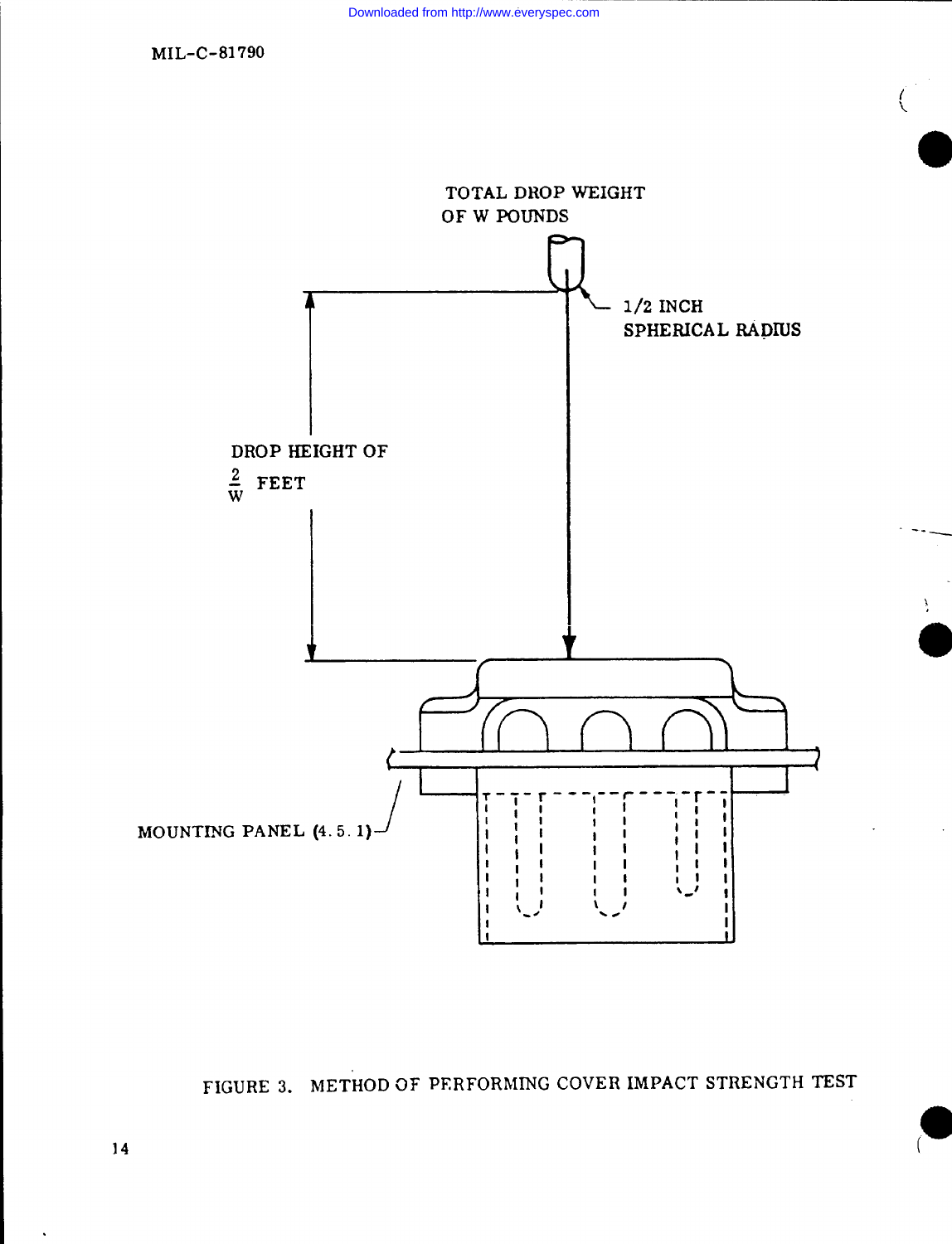

FIGURE 3. METHOD OF PERFORMING COVER IMPACT STRENGTH TEST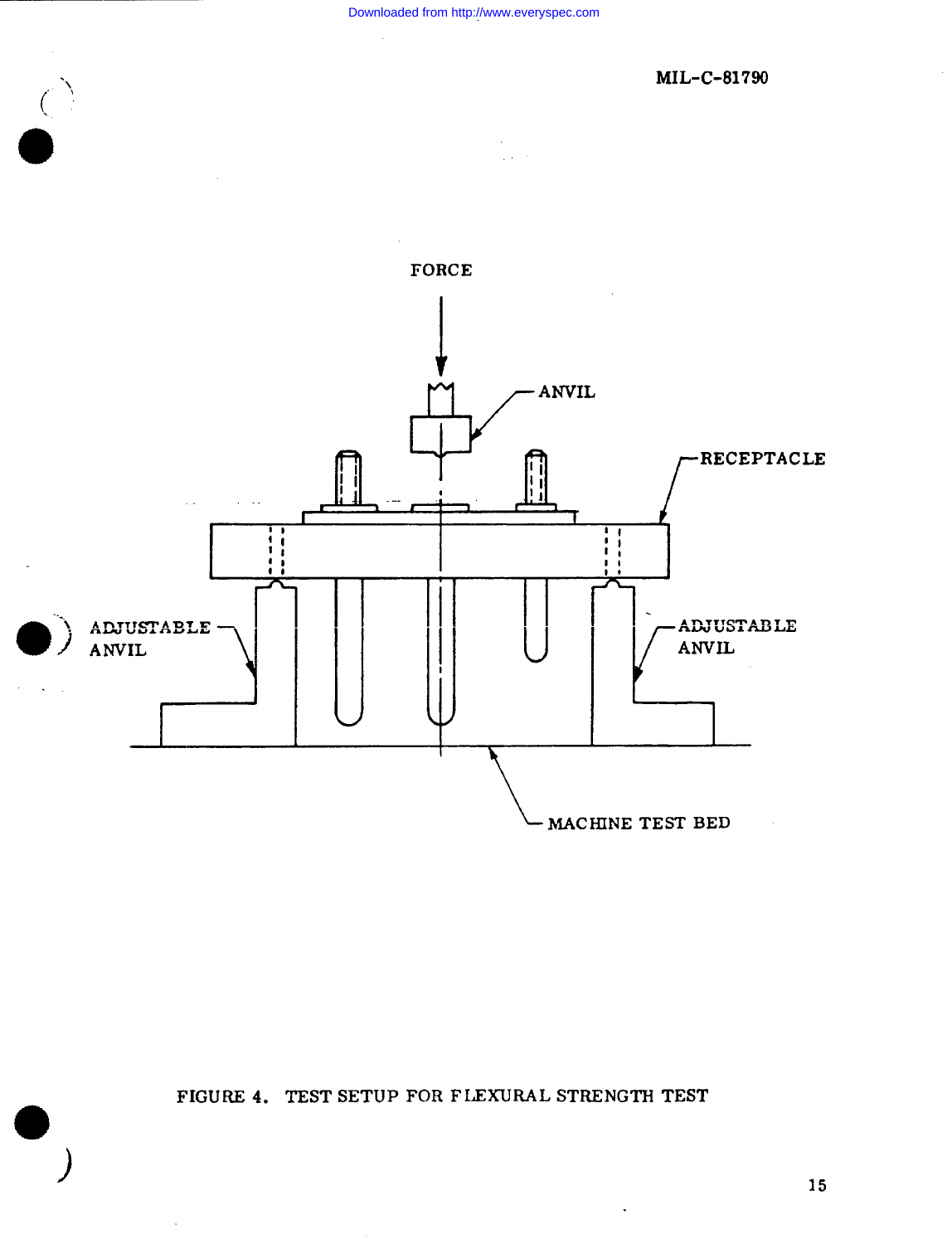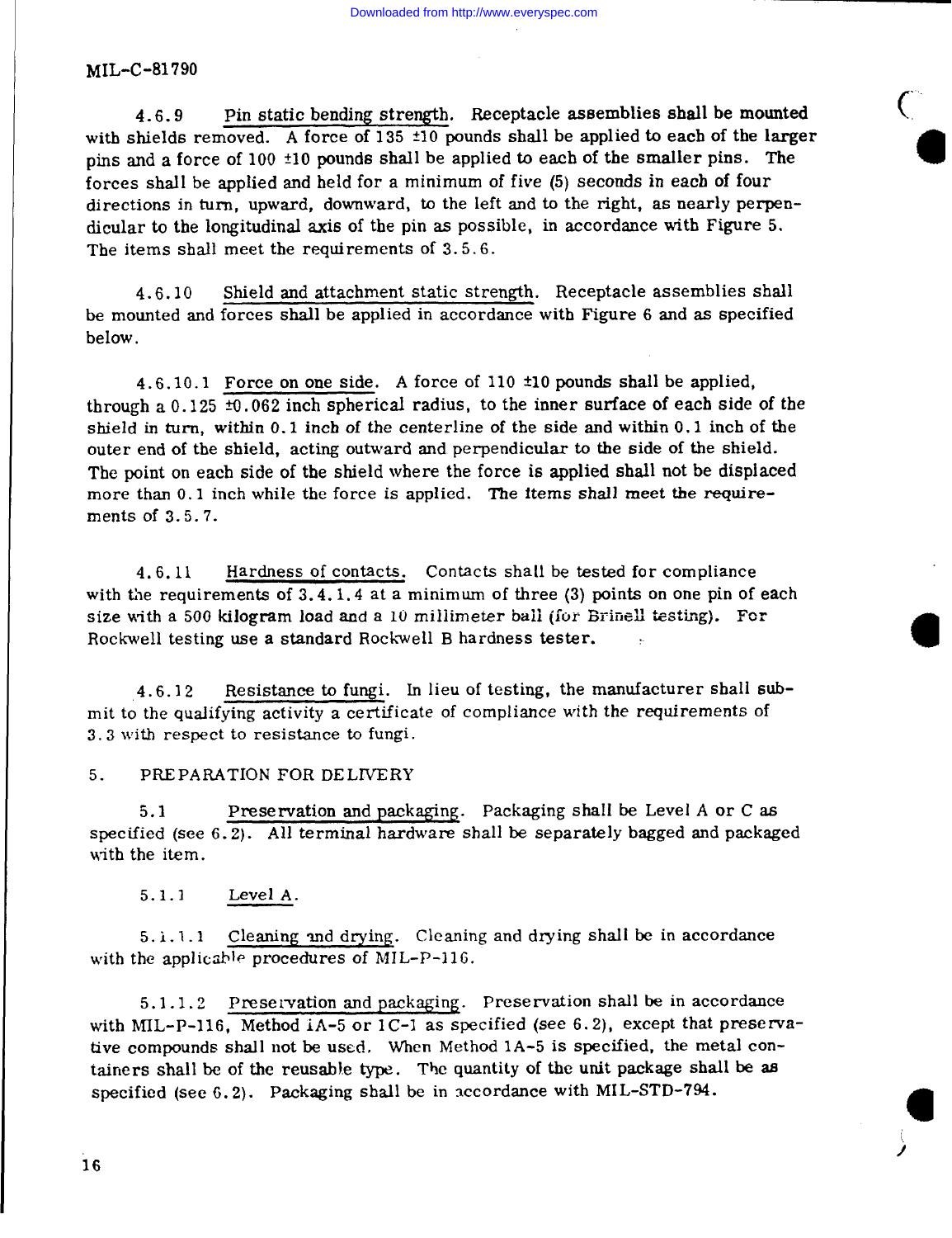Pin static bending strength. Receptacle assemblies shall be mounted  $4.6.9$ with shields removed. A force of 135 ±10 pounds shall be applied to each of the larger pins and a force of 100 ±10 pounds shall be applied to each of the smaller pins. The forces shall be applied and held for a minimum of five (5) seconds in each of four directions in turn, upward, downward, to the left and to the right, as nearly perpendicular to the longitudinal axis of the pin as possible, in accordance with Figure 5. The items shall meet the requirements of 3.5.6.

Shield and attachment static strength. Receptacle assemblies shall 4.6.10 be mounted and forces shall be applied in accordance with Figure 6 and as specified below.

4.6.10.1 Force on one side. A force of 110  $\pm$ 10 pounds shall be applied. through a 0.125  $\pm$ 0.062 inch spherical radius, to the inner surface of each side of the shield in turn, within 0.1 inch of the centerline of the side and within 0.1 inch of the outer end of the shield, acting outward and perpendicular to the side of the shield. The point on each side of the shield where the force is applied shall not be displaced more than 0.1 inch while the force is applied. The items shall meet the requirements of 3.5.7.

Hardness of contacts. Contacts shall be tested for compliance 4.6.11 with the requirements of  $3.4.1.4$  at a minimum of three (3) points on one pin of each size with a 500 kilogram load and a 10 millimeter ball (for Brinell testing). For Rockwell testing use a standard Rockwell B hardness tester.

Resistance to fungi. In lieu of testing, the manufacturer shall sub-4.6.12 mit to the qualifying activity a certificate of compliance with the requirements of 3.3 with respect to resistance to fungi.

#### $5.$ PREPARATION FOR DELIVERY

Preservation and packaging. Packaging shall be Level A or C as  $5.1$ specified (see 6.2). All terminal hardware shall be separately bagged and packaged with the item.

 $5.1.1$ Level A.

5.1.1.1 Cleaning and drying. Cleaning and drying shall be in accordance with the applicable procedures of MIL-P-116.

5.1.1.2 Preservation and packaging. Preservation shall be in accordance with MIL-P-116. Method iA-5 or 1C-1 as specified (see 6.2), except that preservative compounds shall not be used. When Method 1A-5 is specified, the metal containers shall be of the reusable type. The quantity of the unit package shall be as specified (see 6.2). Packaging shall be in accordance with MIL-STD-794.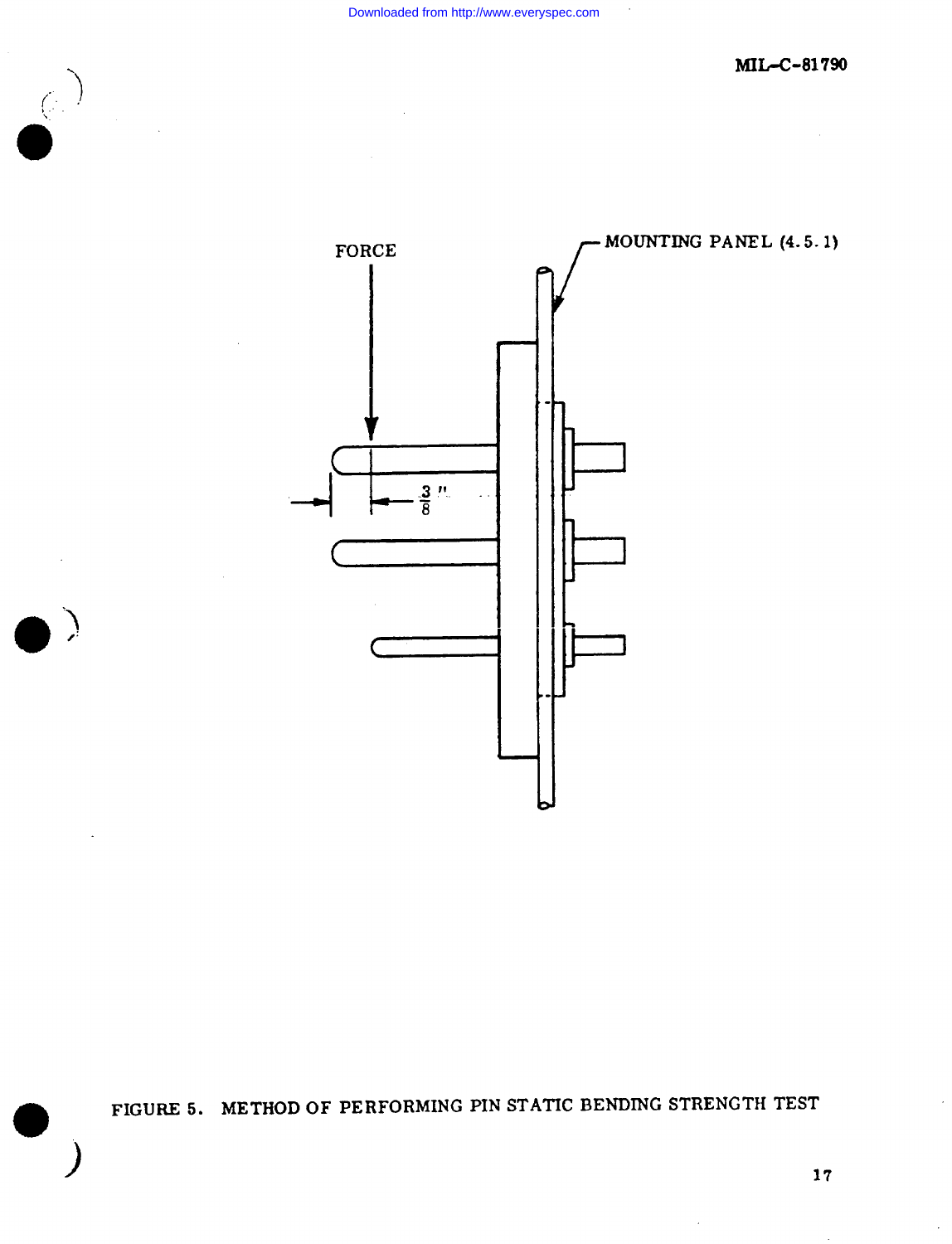$\begin{pmatrix} 1 & 1 \\ 1 & 1 \end{pmatrix}$ 

 $\bigg)$ 

 $\bar{z}$ 

- MOUNTING PANEL (4.5.1) **FORCE**  $\frac{3}{8}$  !"

FIGURE 5. METHOD OF PERFORMING PIN STATIC BENDING STRENGTH TEST

 $17$ 

 $\overline{\phantom{a}}$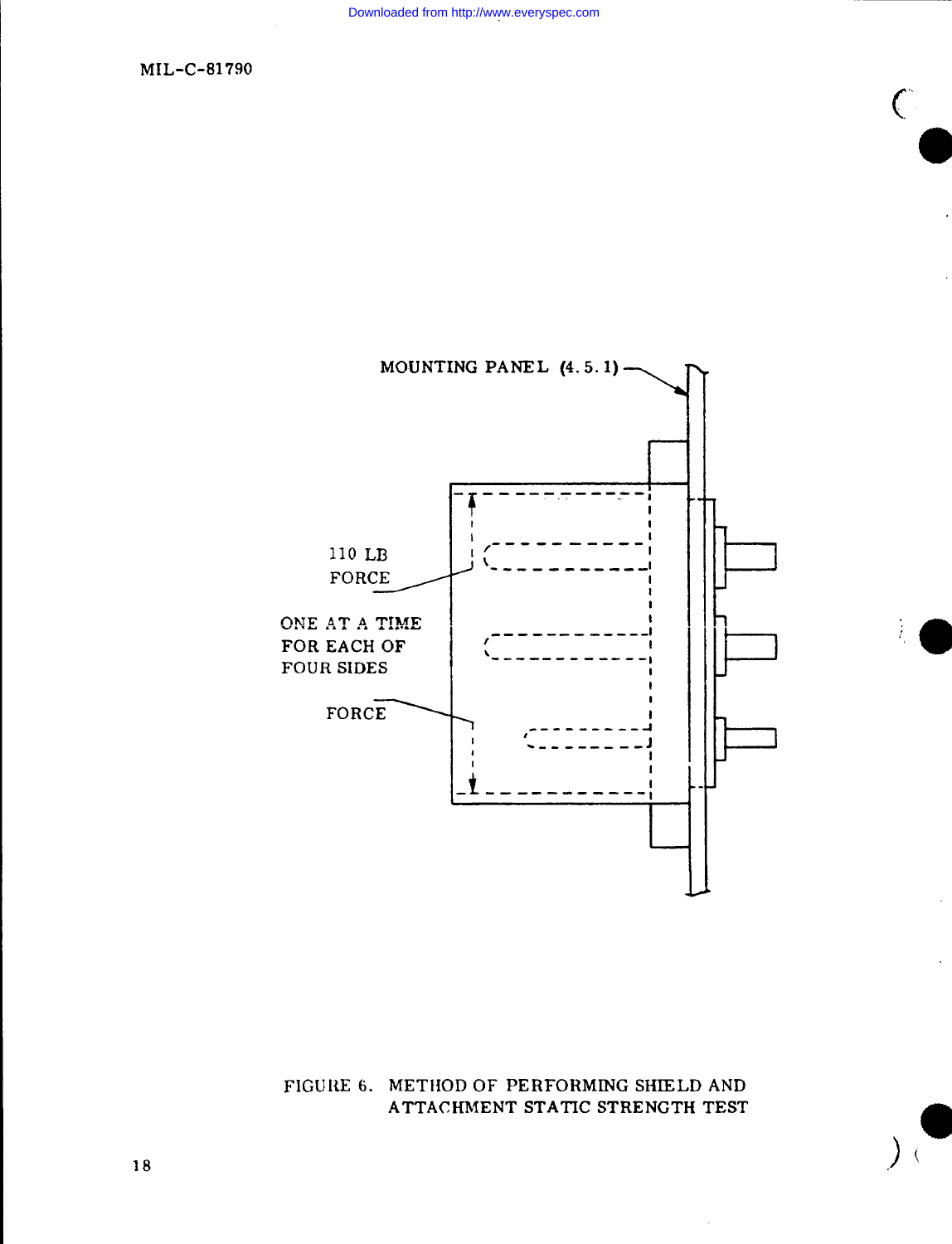$\mathcal{C}$ 

MIL-C-81790



FIGURE 6. METHOD OF PERFORMING SHIELD AND ATTACHMENT STATIC STRENGTH TEST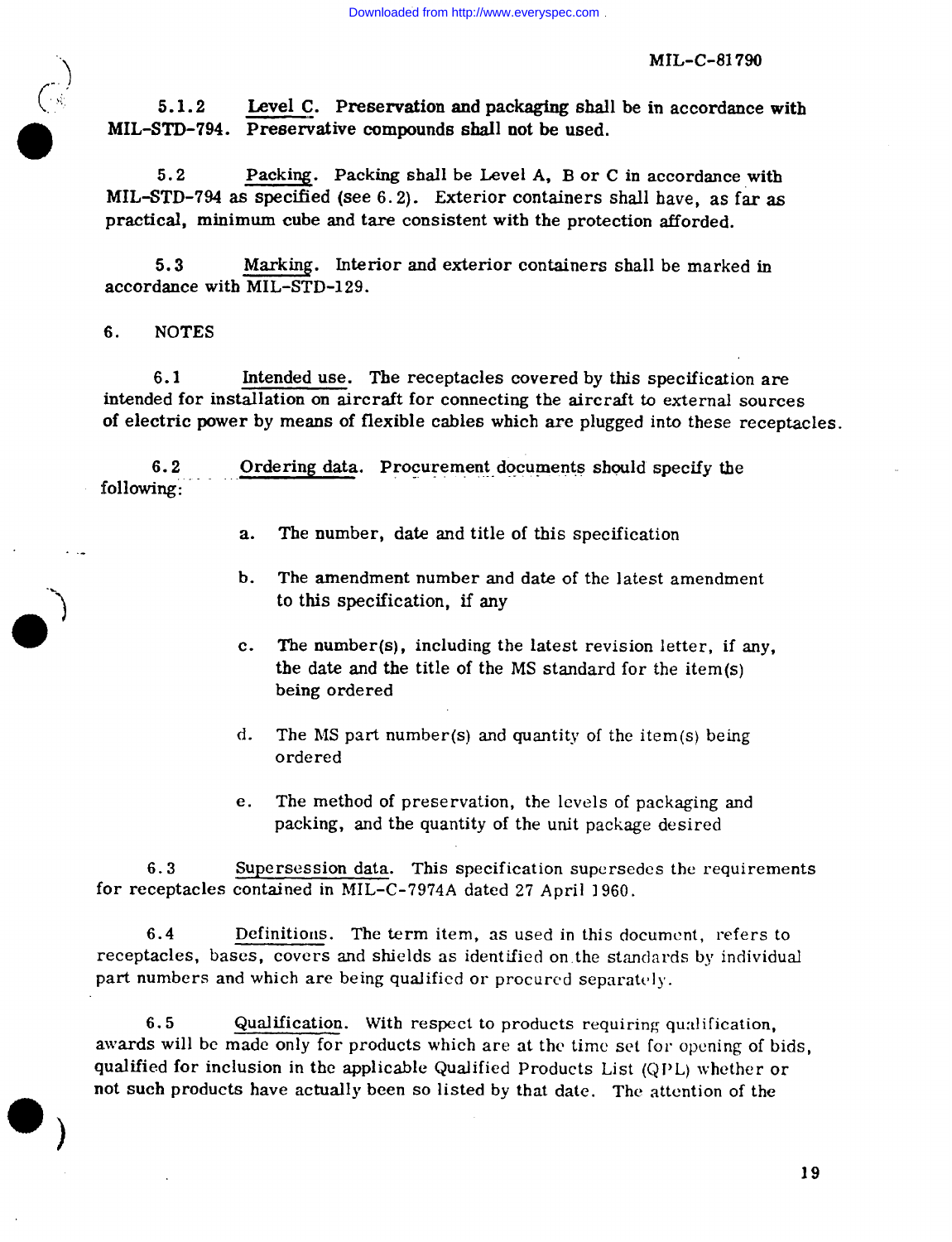MIL-C-81 790

Level C. Preservation and packaging shall be in accordance with  $5.1.2$ MIL-STD-794. Preservative compounds shall not be used.

5.2 Packing. Packing shall be Level A, B or C in accordance with MIL-STD-794 as specified (see 6. 2). Exterior containers shall have, as far as practical, minimum cube and tare consistent with the protection afforded.

5.3 Marking. Interior and exterior containers shall be marked in accordance with MIL-STD-129.

6. NOTES

@

..-

-.

**)**

**0**

a **)**

6.1 Intended use. The receptacles covered by this specification are intended for installation on aircraft for connecting the aircraft to external sources of electric power by means of flexible cables which are plugged into these receptacles.

6.2 Ordering data. Procurement documents should specify the following:

- a. The number, date and title of this specification
- b. The amendment number and date of the latest amendment to this specification, if any
- c. The number(s), including the latest revision letter, if any, the date and the title of the MS standard for the item(s) being ordered
- $d_{\star}$ The MS part number(s) and quantityoftheitem(s)being ordered
- e. The method of preservation, the levels of packaging and packing, and the quantity of the unit package desired

6.3 Supersession data. This specification supersedes the requirements for receptacles contained in MIL-C-7974A dated 27 April 1960.

6.4 Definitions. The term item, as used in this document, refers to receptacles, bases, covers and shields as identified on. the standards by individual part numbers and which are being qualified or procured separately.

6.5 Qualification. With respect to products requiring qualification, awards will be made only for products which are at the time set for opening of bids, qualified for inclusion in the applicable Qualified Products List (Q1'L) whether or not such products have actually been so Iisted by that date. The attention of the